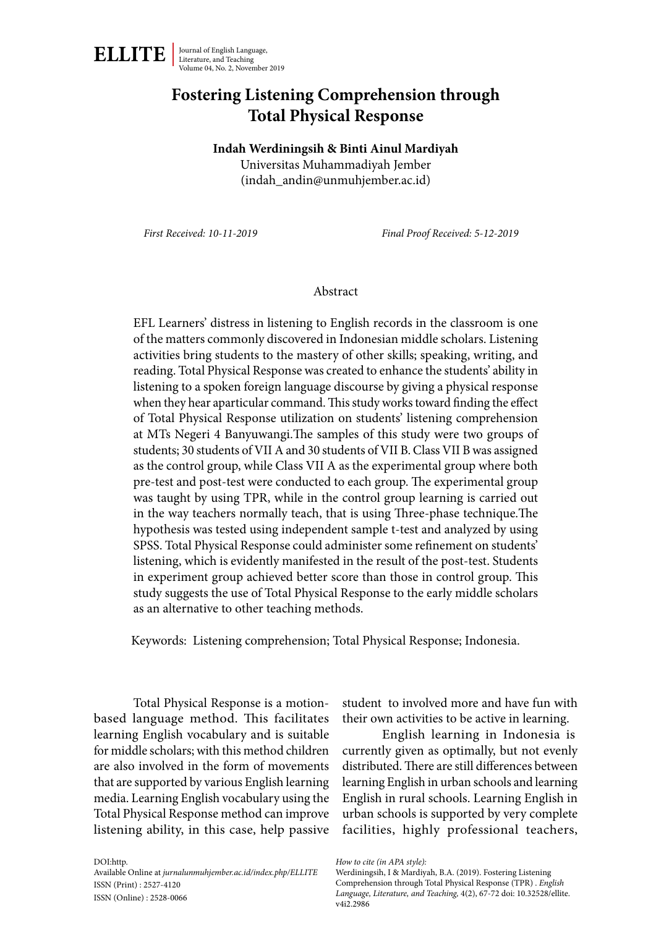

# **Fostering Listening Comprehension through Total Physical Response**

#### **Indah Werdiningsih & Binti Ainul Mardiyah**

Universitas Muhammadiyah Jember (indah\_andin@unmuhjember.ac.id)

*First Received: 10-11-2019 Final Proof Received: 5-12-2019*

#### Abstract

EFL Learners' distress in listening to English records in the classroom is one of the matters commonly discovered in Indonesian middle scholars. Listening activities bring students to the mastery of other skills; speaking, writing, and reading. Total Physical Response was created to enhance the students' ability in listening to a spoken foreign language discourse by giving a physical response when they hear aparticular command. This study works toward finding the effect of Total Physical Response utilization on students' listening comprehension at MTs Negeri 4 Banyuwangi.The samples of this study were two groups of students; 30 students of VII A and 30 students of VII B. Class VII B was assigned as the control group, while Class VII A as the experimental group where both pre-test and post-test were conducted to each group. The experimental group was taught by using TPR, while in the control group learning is carried out in the way teachers normally teach, that is using Three-phase technique.The hypothesis was tested using independent sample t-test and analyzed by using SPSS. Total Physical Response could administer some refinement on students' listening, which is evidently manifested in the result of the post-test. Students in experiment group achieved better score than those in control group. This study suggests the use of Total Physical Response to the early middle scholars as an alternative to other teaching methods.

Keywords: Listening comprehension; Total Physical Response; Indonesia.

Total Physical Response is a motionbased language method. This facilitates learning English vocabulary and is suitable for middle scholars; with this method children are also involved in the form of movements that are supported by various English learning media. Learning English vocabulary using the Total Physical Response method can improve listening ability, in this case, help passive

student to involved more and have fun with their own activities to be active in learning.

English learning in Indonesia is currently given as optimally, but not evenly distributed. There are still differences between learning English in urban schools and learning English in rural schools. Learning English in urban schools is supported by very complete facilities, highly professional teachers,

*How to cite (in APA style):*

DOI:http. Available Online at *jurnalunmuhjember.ac.id/index.php/ELLITE* ISSN (Print) : 2527-4120 ISSN (Online) : 2528-0066

Werdiningsih, I & Mardiyah, B.A. (2019). Fostering Listening Comprehension through Total Physical Response (TPR) . *English Language, Literature, and Teaching,* 4(2), 67-72 doi: 10.32528/ellite. v4i2.2986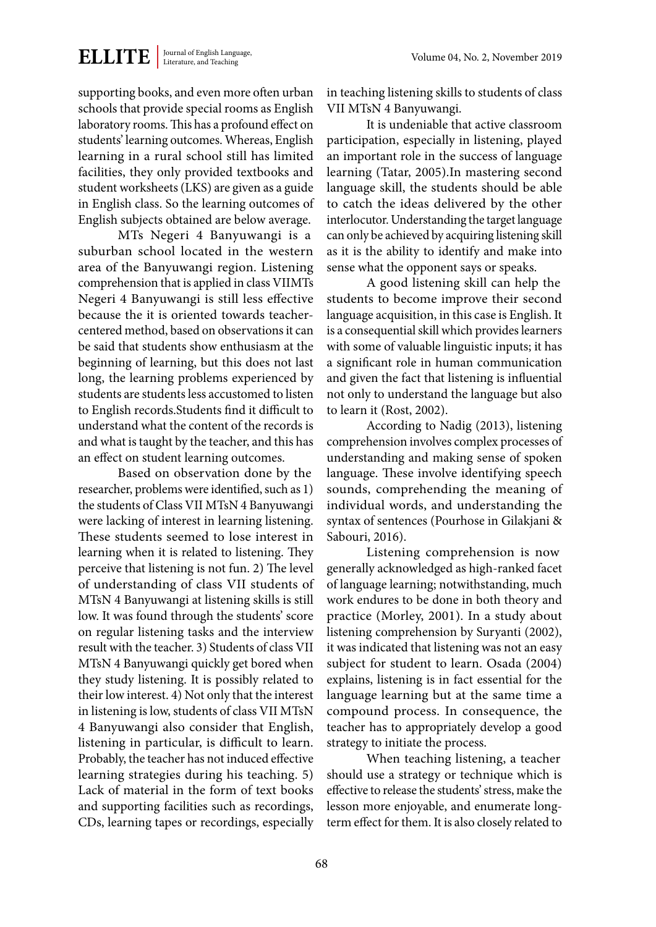supporting books, and even more often urban schools that provide special rooms as English laboratory rooms. This has a profound effect on students' learning outcomes. Whereas, English learning in a rural school still has limited facilities, they only provided textbooks and student worksheets (LKS) are given as a guide in English class. So the learning outcomes of English subjects obtained are below average.

MTs Negeri 4 Banyuwangi is a suburban school located in the western area of the Banyuwangi region. Listening comprehension that is applied in class VIIMTs Negeri 4 Banyuwangi is still less effective because the it is oriented towards teachercentered method, based on observations it can be said that students show enthusiasm at the beginning of learning, but this does not last long, the learning problems experienced by students are students less accustomed to listen to English records.Students find it difficult to understand what the content of the records is and what is taught by the teacher, and this has an effect on student learning outcomes.

Based on observation done by the researcher, problems were identified, such as 1) the students of Class VII MTsN 4 Banyuwangi were lacking of interest in learning listening. These students seemed to lose interest in learning when it is related to listening. They perceive that listening is not fun. 2) The level of understanding of class VII students of MTsN 4 Banyuwangi at listening skills is still low. It was found through the students' score on regular listening tasks and the interview result with the teacher. 3) Students of class VII MTsN 4 Banyuwangi quickly get bored when they study listening. It is possibly related to their low interest. 4) Not only that the interest in listening is low, students of class VII MTsN 4 Banyuwangi also consider that English, listening in particular, is difficult to learn. Probably, the teacher has not induced effective learning strategies during his teaching. 5) Lack of material in the form of text books and supporting facilities such as recordings, CDs, learning tapes or recordings, especially in teaching listening skills to students of class VII MTsN 4 Banyuwangi.

It is undeniable that active classroom participation, especially in listening, played an important role in the success of language learning (Tatar, 2005).In mastering second language skill, the students should be able to catch the ideas delivered by the other interlocutor. Understanding the target language can only be achieved by acquiring listening skill as it is the ability to identify and make into sense what the opponent says or speaks.

A good listening skill can help the students to become improve their second language acquisition, in this case is English. It is a consequential skill which provides learners with some of valuable linguistic inputs; it has a significant role in human communication and given the fact that listening is influential not only to understand the language but also to learn it (Rost, 2002).

According to Nadig (2013), listening comprehension involves complex processes of understanding and making sense of spoken language. These involve identifying speech sounds, comprehending the meaning of individual words, and understanding the syntax of sentences (Pourhose in Gilakjani & Sabouri, 2016).

Listening comprehension is now generally acknowledged as high-ranked facet of language learning; notwithstanding, much work endures to be done in both theory and practice (Morley, 2001). In a study about listening comprehension by Suryanti (2002), it was indicated that listening was not an easy subject for student to learn. Osada (2004) explains, listening is in fact essential for the language learning but at the same time a compound process. In consequence, the teacher has to appropriately develop a good strategy to initiate the process.

When teaching listening, a teacher should use a strategy or technique which is effective to release the students' stress, make the lesson more enjoyable, and enumerate longterm effect for them. It is also closely related to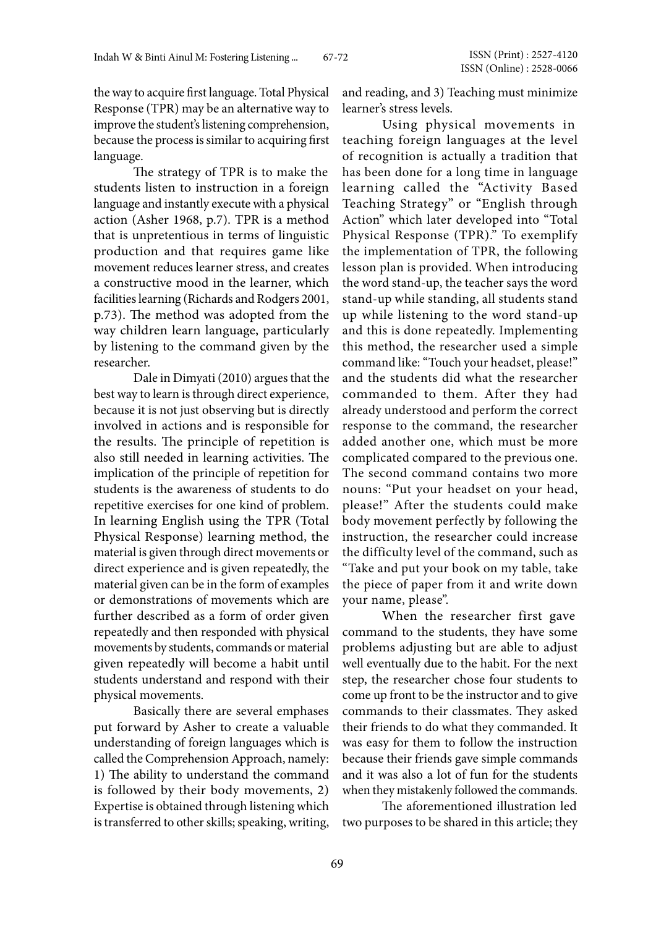the way to acquire first language. Total Physical Response (TPR) may be an alternative way to improve the student's listening comprehension, because the process is similar to acquiring first language.

The strategy of TPR is to make the students listen to instruction in a foreign language and instantly execute with a physical action (Asher 1968, p.7). TPR is a method that is unpretentious in terms of linguistic production and that requires game like movement reduces learner stress, and creates a constructive mood in the learner, which facilities learning (Richards and Rodgers 2001, p.73). The method was adopted from the way children learn language, particularly by listening to the command given by the researcher.

Dale in Dimyati (2010) argues that the best way to learn is through direct experience, because it is not just observing but is directly involved in actions and is responsible for the results. The principle of repetition is also still needed in learning activities. The implication of the principle of repetition for students is the awareness of students to do repetitive exercises for one kind of problem. In learning English using the TPR (Total Physical Response) learning method, the material is given through direct movements or direct experience and is given repeatedly, the material given can be in the form of examples or demonstrations of movements which are further described as a form of order given repeatedly and then responded with physical movements by students, commands or material given repeatedly will become a habit until students understand and respond with their physical movements.

Basically there are several emphases put forward by Asher to create a valuable understanding of foreign languages which is called the Comprehension Approach, namely: 1) The ability to understand the command is followed by their body movements, 2) Expertise is obtained through listening which is transferred to other skills; speaking, writing,

and reading, and 3) Teaching must minimize learner's stress levels.

Using physical movements in teaching foreign languages at the level of recognition is actually a tradition that has been done for a long time in language learning called the "Activity Based Teaching Strategy" or "English through Action" which later developed into "Total Physical Response (TPR)." To exemplify the implementation of TPR, the following lesson plan is provided. When introducing the word stand-up, the teacher says the word stand-up while standing, all students stand up while listening to the word stand-up and this is done repeatedly. Implementing this method, the researcher used a simple command like: "Touch your headset, please!" and the students did what the researcher commanded to them. After they had already understood and perform the correct response to the command, the researcher added another one, which must be more complicated compared to the previous one. The second command contains two more nouns: "Put your headset on your head, please!" After the students could make body movement perfectly by following the instruction, the researcher could increase the difficulty level of the command, such as "Take and put your book on my table, take the piece of paper from it and write down your name, please".

When the researcher first gave command to the students, they have some problems adjusting but are able to adjust well eventually due to the habit. For the next step, the researcher chose four students to come up front to be the instructor and to give commands to their classmates. They asked their friends to do what they commanded. It was easy for them to follow the instruction because their friends gave simple commands and it was also a lot of fun for the students when they mistakenly followed the commands.

The aforementioned illustration led two purposes to be shared in this article; they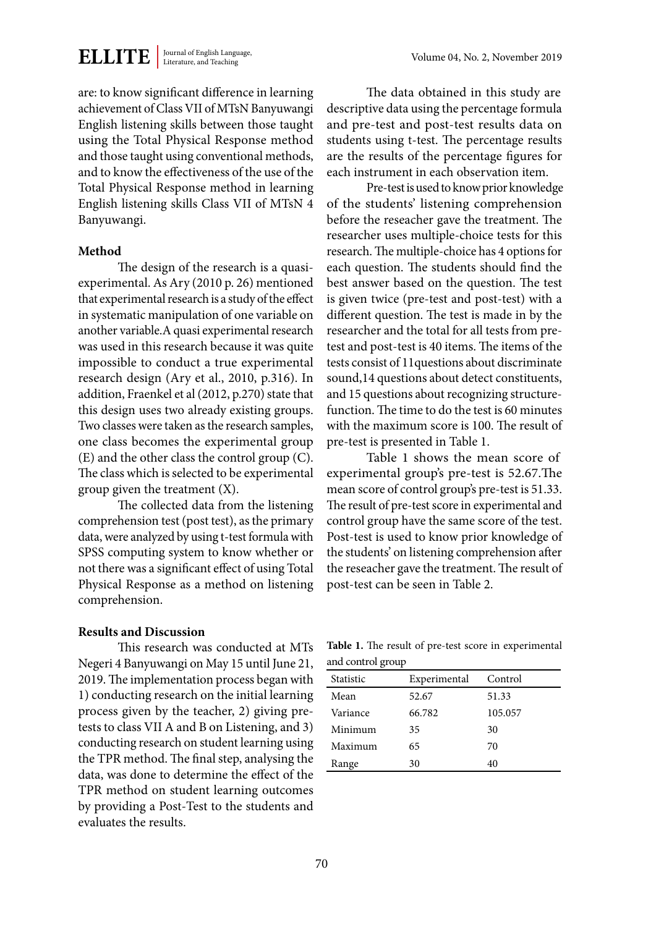**ELLITE** Journal of English Language,

are: to know significant difference in learning achievement of Class VII of MTsN Banyuwangi English listening skills between those taught using the Total Physical Response method and those taught using conventional methods, and to know the effectiveness of the use of the Total Physical Response method in learning English listening skills Class VII of MTsN 4 Banyuwangi.

#### **Method**

The design of the research is a quasiexperimental. As Ary (2010 p. 26) mentioned that experimental research is a study of the effect in systematic manipulation of one variable on another variable.A quasi experimental research was used in this research because it was quite impossible to conduct a true experimental research design (Ary et al., 2010, p.316). In addition, Fraenkel et al (2012, p.270) state that this design uses two already existing groups. Two classes were taken as the research samples, one class becomes the experimental group (E) and the other class the control group (C). The class which is selected to be experimental group given the treatment (X).

The collected data from the listening comprehension test (post test), as the primary data, were analyzed by using t-test formula with SPSS computing system to know whether or not there was a significant effect of using Total Physical Response as a method on listening comprehension.

#### **Results and Discussion**

This research was conducted at MTs Negeri 4 Banyuwangi on May 15 until June 21, 2019. The implementation process began with 1) conducting research on the initial learning process given by the teacher, 2) giving pretests to class VII A and B on Listening, and 3) conducting research on student learning using the TPR method. The final step, analysing the data, was done to determine the effect of the TPR method on student learning outcomes by providing a Post-Test to the students and evaluates the results.

The data obtained in this study are descriptive data using the percentage formula and pre-test and post-test results data on students using t-test. The percentage results are the results of the percentage figures for each instrument in each observation item.

Pre-test is used to know prior knowledge of the students' listening comprehension before the reseacher gave the treatment. The researcher uses multiple-choice tests for this research. The multiple-choice has 4 options for each question. The students should find the best answer based on the question. The test is given twice (pre-test and post-test) with a different question. The test is made in by the researcher and the total for all tests from pretest and post-test is 40 items. The items of the tests consist of 11questions about discriminate sound,14 questions about detect constituents, and 15 questions about recognizing structurefunction. The time to do the test is 60 minutes with the maximum score is 100. The result of pre-test is presented in Table 1.

Table 1 shows the mean score of experimental group's pre-test is 52.67.The mean score of control group's pre-test is 51.33. The result of pre-test score in experimental and control group have the same score of the test. Post-test is used to know prior knowledge of the students' on listening comprehension after the reseacher gave the treatment. The result of post-test can be seen in Table 2.

**Table 1.** The result of pre-test score in experimental and control group

| Statistic | Experimental | Control |
|-----------|--------------|---------|
| Mean      | 52.67        | 51.33   |
| Variance  | 66.782       | 105.057 |
| Minimum   | 35           | 30      |
| Maximum   | 65           | 70      |
| Range     | 30           | 40      |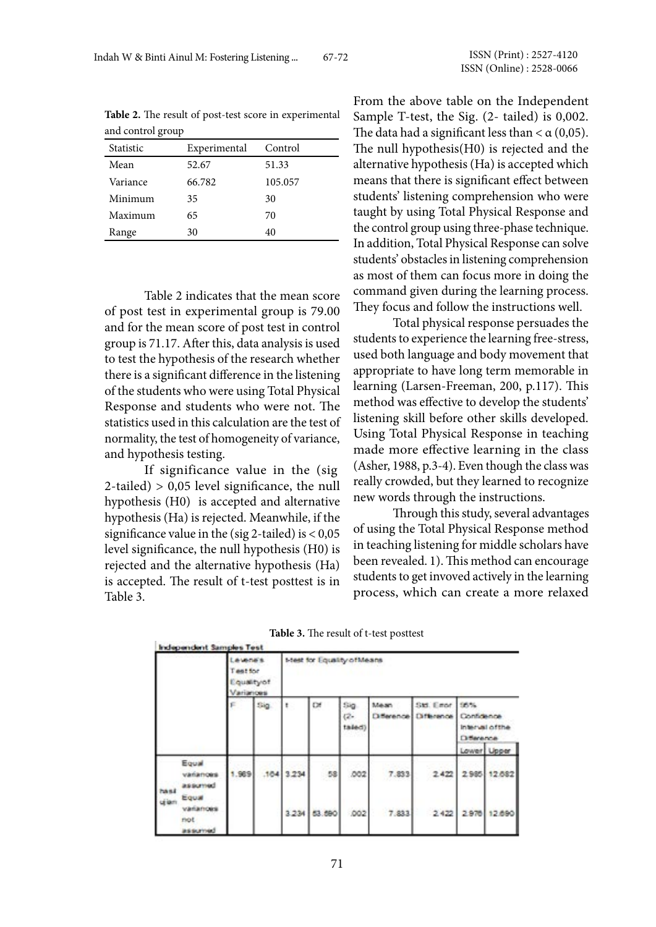| and control group |              |         |  |  |  |  |
|-------------------|--------------|---------|--|--|--|--|
| Statistic         | Experimental | Control |  |  |  |  |
| Mean              | 52.67        | 51.33   |  |  |  |  |
| Variance          | 66.782       | 105.057 |  |  |  |  |
| Minimum           | 35           | 30      |  |  |  |  |
| Maximum           | 65           | 70      |  |  |  |  |
| Range             | 30           | 40      |  |  |  |  |

**Table 2.** The result of post-test score in experimental and control group

Table 2 indicates that the mean score of post test in experimental group is 79.00 and for the mean score of post test in control group is 71.17. After this, data analysis is used to test the hypothesis of the research whether there is a significant difference in the listening of the students who were using Total Physical Response and students who were not. The statistics used in this calculation are the test of normality, the test of homogeneity of variance, and hypothesis testing.

If significance value in the (sig 2-tailed) > 0,05 level significance, the null hypothesis (H0) is accepted and alternative hypothesis (Ha) is rejected. Meanwhile, if the significance value in the (sig 2-tailed) is  $< 0.05$ level significance, the null hypothesis (H0) is rejected and the alternative hypothesis (Ha) is accepted. The result of t-test posttest is in Table 3.

From the above table on the Independent Sample T-test, the Sig. (2- tailed) is 0,002. The data had a significant less than  $< \alpha (0.05)$ . The null hypothesis(H0) is rejected and the alternative hypothesis (Ha) is accepted which means that there is significant effect between students' listening comprehension who were taught by using Total Physical Response and the control group using three-phase technique. In addition, Total Physical Response can solve students' obstacles in listening comprehension as most of them can focus more in doing the command given during the learning process. They focus and follow the instructions well.

Total physical response persuades the students to experience the learning free-stress, used both language and body movement that appropriate to have long term memorable in learning (Larsen-Freeman, 200, p.117). This method was effective to develop the students' listening skill before other skills developed. Using Total Physical Response in teaching made more effective learning in the class (Asher, 1988, p.3-4). Even though the class was really crowded, but they learned to recognize new words through the instructions.

Through this study, several advantages of using the Total Physical Response method in teaching listening for middle scholars have been revealed. 1). This method can encourage students to get invoved actively in the learning process, which can create a more relaxed

|               | Independent Samples Test            |                                                       |     |                            |        |                         |       |                                     |                                                            |             |
|---------------|-------------------------------------|-------------------------------------------------------|-----|----------------------------|--------|-------------------------|-------|-------------------------------------|------------------------------------------------------------|-------------|
|               |                                     | <b>AVADES</b><br>Test for<br>Equality of<br>Varianoes |     | Mest for Equality of Means |        |                         |       |                                     |                                                            |             |
|               |                                     |                                                       | Sig |                            | œ      | Sig<br>$(2 -$<br>taled) | Mean  | Std. Einor<br>Difference Difference | 105%<br>Contidence<br>Interval of the<br><b>Difference</b> |             |
|               |                                     |                                                       |     |                            |        |                         |       |                                     |                                                            | Lower Upper |
| hasi<br>ujian | Equal<br>vananoes<br>assumed        | .969                                                  |     | 104 3.234                  | 58     | .002                    | 7.833 | 2.422                               | 2.985                                                      | 12.682      |
|               | Equal<br>vananoes<br>not<br>assumed |                                                       |     | 3.234                      | 53.590 | 002                     | 7.833 | 2,422                               | 2.970                                                      | 12,690      |

**Table 3.** The result of t-test posttest